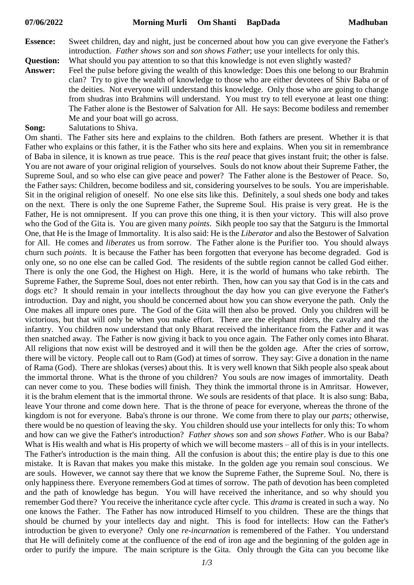- **Essence:** Sweet children, day and night, just be concerned about how you can give everyone the Father's introduction. *Father shows son* and *son shows Father*; use your intellects for only this.
- **Question:** What should you pay attention to so that this knowledge is not even slightly wasted?
- **Answer:** Feel the pulse before giving the wealth of this knowledge: Does this one belong to our Brahmin clan? Try to give the wealth of knowledge to those who are either devotees of Shiv Baba or of the deities. Not everyone will understand this knowledge. Only those who are going to change from shudras into Brahmins will understand. You must try to tell everyone at least one thing: The Father alone is the Bestower of Salvation for All. He says: Become bodiless and remember Me and your boat will go across.
- **Song:** Salutations to Shiva.

Om shanti. The Father sits here and explains to the children. Both fathers are present. Whether it is that Father who explains or this father, it is the Father who sits here and explains. When you sit in remembrance of Baba in silence, it is known as true peace. This is the *real* peace that gives instant fruit; the other is false. You are not aware of your original religion of yourselves. Souls do not know about their Supreme Father, the Supreme Soul, and so who else can give peace and power? The Father alone is the Bestower of Peace. So, the Father says: Children, become bodiless and sit, considering yourselves to be souls. You are imperishable. Sit in the original religion of oneself. No one else sits like this. Definitely, a soul sheds one body and takes on the next. There is only the one Supreme Father, the Supreme Soul. His praise is very great. He is the Father, He is not omnipresent. If you can prove this one thing, it is then your victory. This will also prove who the God of the Gita is. You are given many *points*. Sikh people too say that the Satguru is the Immortal One, that He is the Image of Immortality. It is also said: He is the *Liberator* and also the Bestower of Salvation for All. He comes and *liberates* us from sorrow. The Father alone is the Purifier too. You should always churn such *points*. It is because the Father has been forgotten that everyone has become degraded. God is only one, so no one else can be called God. The residents of the subtle region cannot be called God either. There is only the one God, the Highest on High. Here, it is the world of humans who take rebirth. The Supreme Father, the Supreme Soul, does not enter rebirth. Then, how can you say that God is in the cats and dogs etc? It should remain in your intellects throughout the day how you can give everyone the Father's introduction. Day and night, you should be concerned about how you can show everyone the path. Only the One makes all impure ones pure. The God of the Gita will then also be proved. Only you children will be victorious, but that will only be when you make effort. There are the elephant riders, the cavalry and the infantry. You children now understand that only Bharat received the inheritance from the Father and it was then snatched away. The Father is now giving it back to you once again. The Father only comes into Bharat. All religions that now exist will be destroyed and it will then be the golden age. After the cries of sorrow, there will be victory. People call out to Ram (God) at times of sorrow. They say: Give a donation in the name of Rama (God). There are shlokas (verses) about this. It is very well known that Sikh people also speak about the immortal throne. What is the throne of you children? You souls are now images of immortality. Death can never come to you. These bodies will finish. They think the immortal throne is in Amritsar. However, it is the brahm element that is the immortal throne. We souls are residents of that place. It is also sung: Baba, leave Your throne and come down here. That is the throne of peace for everyone, whereas the throne of the kingdom is not for everyone. Baba's throne is our throne. We come from there to play our *parts;* otherwise, there would be no question of leaving the sky. You children should use your intellects for only this: To whom and how can we give the Father's introduction? *Father shows son* and *son shows Father*. Who is our Baba? What is His wealth and what is His property of which we will become masters – all of this is in your intellects. The Father's introduction is the main thing. All the confusion is about this; the entire play is due to this one mistake. It is Ravan that makes you make this mistake. In the golden age you remain soul conscious. We are souls. However, we cannot say there that we know the Supreme Father, the Supreme Soul. No, there is only happiness there. Everyone remembers God at times of sorrow. The path of devotion has been completed and the path of knowledge has begun. You will have received the inheritance, and so why should you remember God there? You receive the inheritance cycle after cycle. This *drama* is created in such a way. No one knows the Father. The Father has now introduced Himself to you children. These are the things that should be churned by your intellects day and night. This is food for intellects: How can the Father's introduction be given to everyone? Only one *re-incarnation* is remembered of the Father. You understand that He will definitely come at the confluence of the end of iron age and the beginning of the golden age in order to purify the impure. The main scripture is the Gita. Only through the Gita can you become like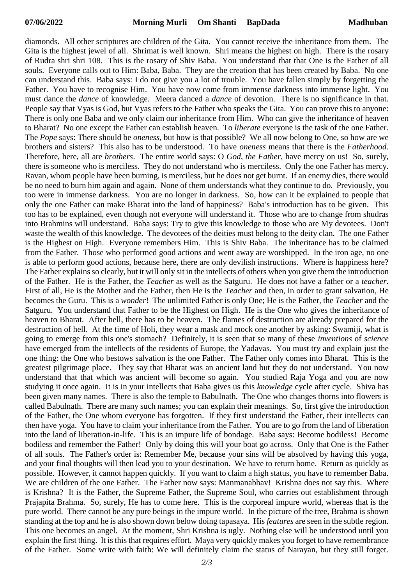diamonds. All other scriptures are children of the Gita. You cannot receive the inheritance from them. The Gita is the highest jewel of all. Shrimat is well known. Shri means the highest on high. There is the rosary of Rudra shri shri 108. This is the rosary of Shiv Baba. You understand that that One is the Father of all souls. Everyone calls out to Him: Baba, Baba. They are the creation that has been created by Baba. No one can understand this. Baba says: I do not give you a lot of trouble. You have fallen simply by forgetting the Father. You have to recognise Him. You have now come from immense darkness into immense light. You must dance the *dance* of knowledge. Meera danced a *dance* of devotion. There is no significance in that. People say that Vyas is God, but Vyas refers to the Father who speaks the Gita. You can prove this to anyone: There is only one Baba and we only claim our inheritance from Him. Who can give the inheritance of heaven to Bharat? No one except the Father can establish heaven. To *liberate* everyone is the task of the one Father. The *Pope* says: There should be *oneness,* but how is that possible? We all now belong to One, so how are we brothers and sisters? This also has to be understood. To have *oneness* means that there is the *Fatherhood*. Therefore, here, all are *brothers*. The entire world says: O *God, the Father*, have mercy on us! So, surely, there is someone who is merciless. They do not understand who is merciless. Only the one Father has mercy. Ravan, whom people have been burning, is merciless, but he does not get burnt. If an enemy dies, there would be no need to burn him again and again. None of them understands what they continue to do. Previously, you too were in immense darkness. You are no longer in darkness. So, how can it be explained to people that only the one Father can make Bharat into the land of happiness? Baba's introduction has to be given. This too has to be explained, even though not everyone will understand it. Those who are to change from shudras into Brahmins will understand. Baba says: Try to give this knowledge to those who are My devotees. Don't waste the wealth of this knowledge. The devotees of the deities must belong to the deity clan. The one Father is the Highest on High. Everyone remembers Him. This is Shiv Baba. The inheritance has to be claimed from the Father. Those who performed good actions and went away are worshipped. In the iron age, no one is able to perform good actions, because here, there are only devilish instructions. Where is happiness here? The Father explains so clearly, but it will only sit in the intellects of others when you give them the introduction of the Father. He is the Father, the *Teacher* as well as the Satguru. He does not have a father or a *teacher*. First of all, He is the Mother and the Father, then He is the *Teacher* and then, in order to grant salvation, He becomes the Guru. This is a *wonder*! The unlimited Father is only One; He is the Father, the *Teacher* and the Satguru. You understand that Father to be the Highest on High. He is the One who gives the inheritance of heaven to Bharat. After hell, there has to be heaven. The flames of destruction are already prepared for the destruction of hell. At the time of Holi, they wear a mask and mock one another by asking: Swamiji, what is going to emerge from this one's stomach? Definitely, it is seen that so many of these *inventions* of *science* have emerged from the intellects of the residents of Europe, the Yadavas. You must try and explain just the one thing: the One who bestows salvation is the one Father. The Father only comes into Bharat. This is the greatest pilgrimage place. They say that Bharat was an ancient land but they do not understand. You now understand that that which was ancient will become so again. You studied Raja Yoga and you are now studying it once again. It is in your intellects that Baba gives us this *knowledge* cycle after cycle. Shiva has been given many names. There is also the temple to Babulnath. The One who changes thorns into flowers is called Babulnath. There are many such names; you can explain their meanings. So, first give the introduction of the Father, the One whom everyone has forgotten. If they first understand the Father, their intellects can then have yoga. You have to claim your inheritance from the Father. You are to go from the land of liberation into the land of liberation-in-life. This is an impure life of bondage. Baba says: Become bodiless! Become bodiless and remember the Father! Only by doing this will your boat go across. Only that One is the Father of all souls. The Father's order is: Remember Me, because your sins will be absolved by having this yoga, and your final thoughts will then lead you to your destination. We have to return home. Return as quickly as possible. However, it cannot happen quickly. If you want to claim a high status, you have to remember Baba. We are children of the one Father. The Father now says: Manmanabhav! Krishna does not say this. Where is Krishna? It is the Father, the Supreme Father, the Supreme Soul, who carries out establishment through Prajapita Brahma. So, surely, He has to come here. This is the corporeal impure world, whereas that is the pure world. There cannot be any pure beings in the impure world. In the picture of the tree, Brahma is shown standing at the top and he is also shown down below doing tapasaya. His *features* are seen in the subtle region. This one becomes an angel. At the moment, Shri Krishna is ugly. Nothing else will be understood until you explain the first thing. It is this that requires effort. Maya very quickly makes you forget to have remembrance of the Father. Some write with faith: We will definitely claim the status of Narayan, but they still forget.